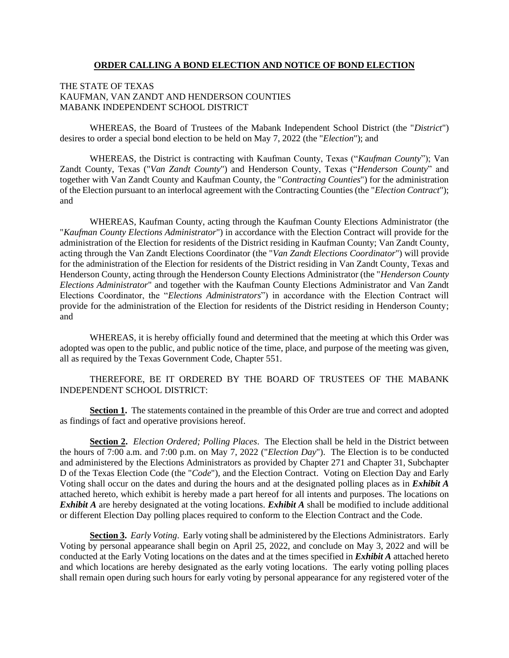#### **ORDER CALLING A BOND ELECTION AND NOTICE OF BOND ELECTION**

#### THE STATE OF TEXAS KAUFMAN, VAN ZANDT AND HENDERSON COUNTIES MABANK INDEPENDENT SCHOOL DISTRICT

WHEREAS, the Board of Trustees of the Mabank Independent School District (the "*District*") desires to order a special bond election to be held on May 7, 2022 (the "*Election*"); and

WHEREAS, the District is contracting with Kaufman County, Texas ("*Kaufman County*"); Van Zandt County, Texas ("*Van Zandt County*") and Henderson County, Texas ("*Henderson County*" and together with Van Zandt County and Kaufman County, the "*Contracting Counties*") for the administration of the Election pursuant to an interlocal agreement with the Contracting Counties (the "*Election Contract*"); and

WHEREAS, Kaufman County, acting through the Kaufman County Elections Administrator (the "*Kaufman County Elections Administrator*") in accordance with the Election Contract will provide for the administration of the Election for residents of the District residing in Kaufman County; Van Zandt County, acting through the Van Zandt Elections Coordinator (the "*Van Zandt Elections Coordinator*") will provide for the administration of the Election for residents of the District residing in Van Zandt County, Texas and Henderson County, acting through the Henderson County Elections Administrator (the "*Henderson County Elections Administrator*" and together with the Kaufman County Elections Administrator and Van Zandt Elections Coordinator, the "*Elections Administrators*") in accordance with the Election Contract will provide for the administration of the Election for residents of the District residing in Henderson County; and

WHEREAS, it is hereby officially found and determined that the meeting at which this Order was adopted was open to the public, and public notice of the time, place, and purpose of the meeting was given, all as required by the Texas Government Code, Chapter 551.

#### THEREFORE, BE IT ORDERED BY THE BOARD OF TRUSTEES OF THE MABANK INDEPENDENT SCHOOL DISTRICT:

**Section 1.** The statements contained in the preamble of this Order are true and correct and adopted as findings of fact and operative provisions hereof.

**Section 2.** *Election Ordered; Polling Places*. The Election shall be held in the District between the hours of 7:00 a.m. and 7:00 p.m. on May 7, 2022 ("*Election Day*"). The Election is to be conducted and administered by the Elections Administrators as provided by Chapter 271 and Chapter 31, Subchapter D of the Texas Election Code (the "*Code*"), and the Election Contract. Voting on Election Day and Early Voting shall occur on the dates and during the hours and at the designated polling places as in *Exhibit A* attached hereto, which exhibit is hereby made a part hereof for all intents and purposes. The locations on *Exhibit A* are hereby designated at the voting locations. *Exhibit A* shall be modified to include additional or different Election Day polling places required to conform to the Election Contract and the Code.

**Section 3.** *Early Voting*. Early voting shall be administered by the Elections Administrators. Early Voting by personal appearance shall begin on April 25, 2022, and conclude on May 3, 2022 and will be conducted at the Early Voting locations on the dates and at the times specified in *Exhibit A* attached hereto and which locations are hereby designated as the early voting locations. The early voting polling places shall remain open during such hours for early voting by personal appearance for any registered voter of the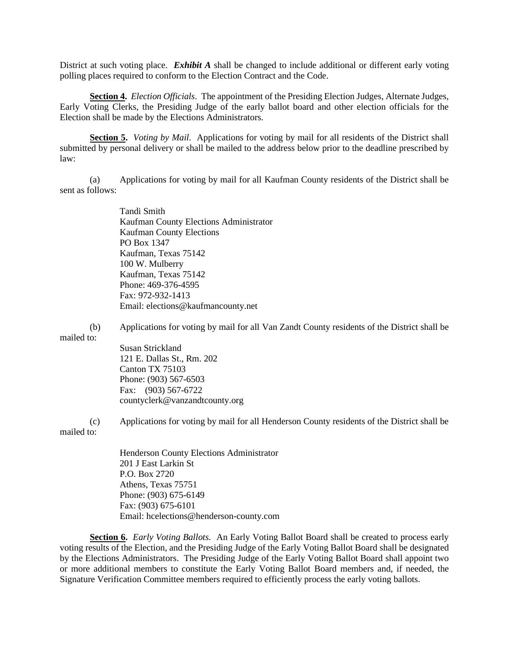District at such voting place. *Exhibit A* shall be changed to include additional or different early voting polling places required to conform to the Election Contract and the Code.

**Section 4.** *Election Officials*. The appointment of the Presiding Election Judges, Alternate Judges, Early Voting Clerks, the Presiding Judge of the early ballot board and other election officials for the Election shall be made by the Elections Administrators.

**Section 5.** *Voting by Mail.* Applications for voting by mail for all residents of the District shall submitted by personal delivery or shall be mailed to the address below prior to the deadline prescribed by law:

(a) Applications for voting by mail for all Kaufman County residents of the District shall be sent as follows:

> Tandi Smith Kaufman County Elections Administrator Kaufman County Elections PO Box 1347 Kaufman, Texas 75142 100 W. Mulberry Kaufman, Texas 75142 Phone: 469-376-4595 Fax: 972-932-1413 Email: elections@kaufmancounty.net

(b) Applications for voting by mail for all Van Zandt County residents of the District shall be mailed to: Susan Strickland

121 E. Dallas St., Rm. 202 Canton TX 75103 Phone: (903) 567-6503 Fax: (903) 567-6722 countyclerk@vanzandtcounty.org

(c) Applications for voting by mail for all Henderson County residents of the District shall be mailed to:

> Henderson County Elections Administrator 201 J East Larkin St P.O. Box 2720 Athens, Texas 75751 Phone: (903) 675-6149 Fax: (903) 675-6101 Email: hcelections@henderson-county.com

**Section 6.** *Early Voting Ballots.* An Early Voting Ballot Board shall be created to process early voting results of the Election, and the Presiding Judge of the Early Voting Ballot Board shall be designated by the Elections Administrators. The Presiding Judge of the Early Voting Ballot Board shall appoint two or more additional members to constitute the Early Voting Ballot Board members and, if needed, the Signature Verification Committee members required to efficiently process the early voting ballots.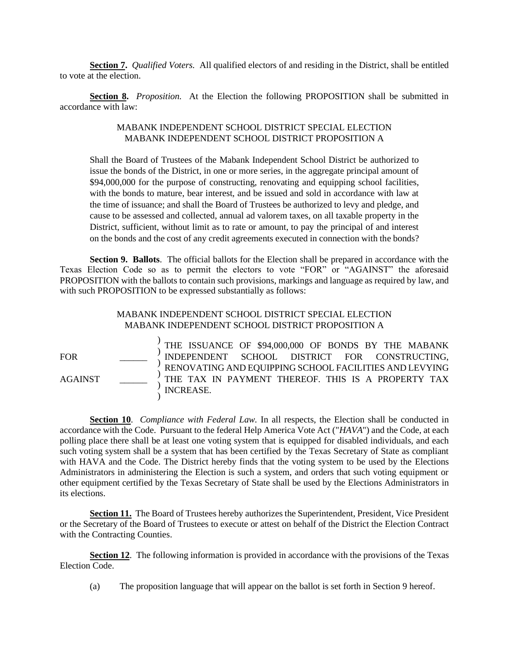**Section 7.** *Qualified Voters.* All qualified electors of and residing in the District, shall be entitled to vote at the election.

**Section 8.** *Proposition.* At the Election the following PROPOSITION shall be submitted in accordance with law:

#### MABANK INDEPENDENT SCHOOL DISTRICT SPECIAL ELECTION MABANK INDEPENDENT SCHOOL DISTRICT PROPOSITION A

Shall the Board of Trustees of the Mabank Independent School District be authorized to issue the bonds of the District, in one or more series, in the aggregate principal amount of \$94,000,000 for the purpose of constructing, renovating and equipping school facilities, with the bonds to mature, bear interest, and be issued and sold in accordance with law at the time of issuance; and shall the Board of Trustees be authorized to levy and pledge, and cause to be assessed and collected, annual ad valorem taxes, on all taxable property in the District, sufficient, without limit as to rate or amount, to pay the principal of and interest on the bonds and the cost of any credit agreements executed in connection with the bonds?

**Section 9. Ballots**. The official ballots for the Election shall be prepared in accordance with the Texas Election Code so as to permit the electors to vote "FOR" or "AGAINST" the aforesaid PROPOSITION with the ballots to contain such provisions, markings and language as required by law, and with such PROPOSITION to be expressed substantially as follows:

## MABANK INDEPENDENT SCHOOL DISTRICT SPECIAL ELECTION MABANK INDEPENDENT SCHOOL DISTRICT PROPOSITION A

FOR \_\_\_\_\_\_

AGAINST \_\_\_\_\_\_

) ) ) ) ) ) THE ISSUANCE OF \$94,000,000 OF BONDS BY THE MABANK INDEPENDENT SCHOOL DISTRICT FOR CONSTRUCTING, RENOVATING AND EQUIPPING SCHOOL FACILITIES AND LEVYING THE TAX IN PAYMENT THEREOF. THIS IS A PROPERTY TAX INCREASE.

**Section 10**. *Compliance with Federal Law.* In all respects, the Election shall be conducted in accordance with the Code. Pursuant to the federal Help America Vote Act ("*HAVA*") and the Code, at each polling place there shall be at least one voting system that is equipped for disabled individuals, and each such voting system shall be a system that has been certified by the Texas Secretary of State as compliant with HAVA and the Code. The District hereby finds that the voting system to be used by the Elections Administrators in administering the Election is such a system, and orders that such voting equipment or other equipment certified by the Texas Secretary of State shall be used by the Elections Administrators in its elections.

**Section 11.** The Board of Trustees hereby authorizes the Superintendent, President, Vice President or the Secretary of the Board of Trustees to execute or attest on behalf of the District the Election Contract with the Contracting Counties.

**Section 12**. The following information is provided in accordance with the provisions of the Texas Election Code.

(a) The proposition language that will appear on the ballot is set forth in Section 9 hereof.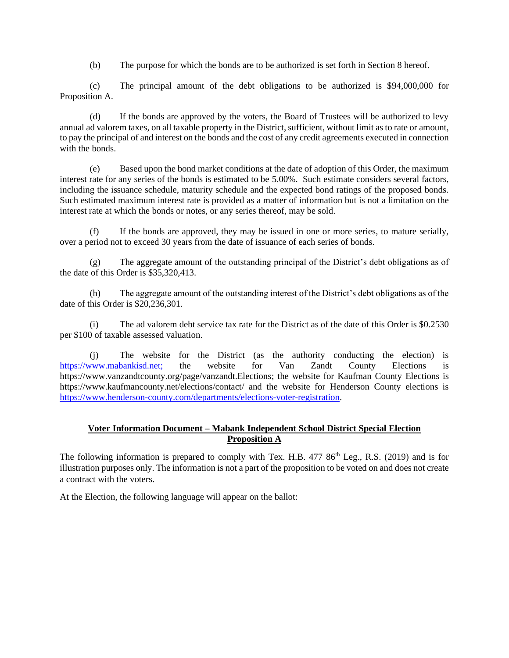(b) The purpose for which the bonds are to be authorized is set forth in Section 8 hereof.

(c) The principal amount of the debt obligations to be authorized is \$94,000,000 for Proposition A.

(d) If the bonds are approved by the voters, the Board of Trustees will be authorized to levy annual ad valorem taxes, on all taxable property in the District, sufficient, without limit as to rate or amount, to pay the principal of and interest on the bonds and the cost of any credit agreements executed in connection with the bonds.

(e) Based upon the bond market conditions at the date of adoption of this Order, the maximum interest rate for any series of the bonds is estimated to be 5.00%. Such estimate considers several factors, including the issuance schedule, maturity schedule and the expected bond ratings of the proposed bonds. Such estimated maximum interest rate is provided as a matter of information but is not a limitation on the interest rate at which the bonds or notes, or any series thereof, may be sold.

(f) If the bonds are approved, they may be issued in one or more series, to mature serially, over a period not to exceed 30 years from the date of issuance of each series of bonds.

(g) The aggregate amount of the outstanding principal of the District's debt obligations as of the date of this Order is \$35,320,413.

(h) The aggregate amount of the outstanding interest of the District's debt obligations as of the date of this Order is \$20,236,301.

(i) The ad valorem debt service tax rate for the District as of the date of this Order is \$0.2530 per \$100 of taxable assessed valuation.

(j) The website for the District (as the authority conducting the election) is [https://www.mabankisd.n](https://www.mabankisd./)et; the website for Van Zandt County Elections is https://www.vanzandtcounty.org/page/vanzandt.Elections; the website for Kaufman County Elections is https://www.kaufmancounty.net/elections/contact/ and the website for Henderson County elections is [https://www.henderson-county.com/departments/elections-voter-registration.](https://www.henderson-county.com/departments/elections-voter-registration)

## **Voter Information Document – Mabank Independent School District Special Election Proposition A**

The following information is prepared to comply with Tex. H.B. 477 86<sup>th</sup> Leg., R.S. (2019) and is for illustration purposes only. The information is not a part of the proposition to be voted on and does not create a contract with the voters.

At the Election, the following language will appear on the ballot: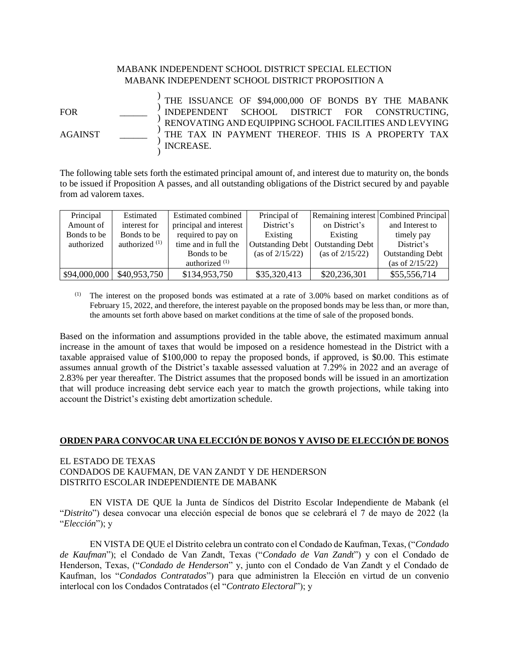## MABANK INDEPENDENT SCHOOL DISTRICT SPECIAL ELECTION MABANK INDEPENDENT SCHOOL DISTRICT PROPOSITION A

 $FOR$ AGAINST \_\_\_\_\_\_ ) ) ) ) ) THE TAX IN PAYMENT THEREOF. THIS IS A PROPERTY TAX ) THE ISSUANCE OF \$94,000,000 OF BONDS BY THE MABANK INDEPENDENT SCHOOL DISTRICT FOR CONSTRUCTING, RENOVATING AND EQUIPPING SCHOOL FACILITIES AND LEVYING INCREASE.

The following table sets forth the estimated principal amount of, and interest due to maturity on, the bonds to be issued if Proposition A passes, and all outstanding obligations of the District secured by and payable from ad valorem taxes.

| Principal    | Estimated        | Estimated combined     | Principal of       |                         | Remaining interest Combined Principal |
|--------------|------------------|------------------------|--------------------|-------------------------|---------------------------------------|
| Amount of    | interest for     | principal and interest | District's         | on District's           | and Interest to                       |
| Bonds to be  | Bonds to be      | required to pay on     | Existing           | Existing                | timely pay                            |
| authorized   | authorized $(1)$ | time and in full the   | Outstanding Debt   | <b>Outstanding Debt</b> | District's                            |
|              |                  | Bonds to be            | (as of $2/15/22$ ) | (as of $2/15/22$ )      | <b>Outstanding Debt</b>               |
|              |                  | authorized $(1)$       |                    |                         | (as of $2/15/22$ )                    |
| \$94,000,000 | \$40,953,750     | \$134,953,750          | \$35,320,413       | \$20,236,301            | \$55,556,714                          |

 $(1)$  The interest on the proposed bonds was estimated at a rate of 3.00% based on market conditions as of February 15, 2022, and therefore, the interest payable on the proposed bonds may be less than, or more than, the amounts set forth above based on market conditions at the time of sale of the proposed bonds.

Based on the information and assumptions provided in the table above, the estimated maximum annual increase in the amount of taxes that would be imposed on a residence homestead in the District with a taxable appraised value of \$100,000 to repay the proposed bonds, if approved, is \$0.00. This estimate assumes annual growth of the District's taxable assessed valuation at 7.29% in 2022 and an average of 2.83% per year thereafter. The District assumes that the proposed bonds will be issued in an amortization that will produce increasing debt service each year to match the growth projections, while taking into account the District's existing debt amortization schedule.

## **ORDEN PARA CONVOCAR UNA ELECCIÓN DE BONOS Y AVISO DE ELECCIÓN DE BONOS**

# EL ESTADO DE TEXAS CONDADOS DE KAUFMAN, DE VAN ZANDT Y DE HENDERSON DISTRITO ESCOLAR INDEPENDIENTE DE MABANK

EN VISTA DE QUE la Junta de Síndicos del Distrito Escolar Independiente de Mabank (el "*Distrito*") desea convocar una elección especial de bonos que se celebrará el 7 de mayo de 2022 (la "*Elección*"); y

EN VISTA DE QUE el Distrito celebra un contrato con el Condado de Kaufman, Texas, ("*Condado de Kaufman*"); el Condado de Van Zandt, Texas ("*Condado de Van Zandt*") y con el Condado de Henderson, Texas, ("*Condado de Henderson*" y, junto con el Condado de Van Zandt y el Condado de Kaufman, los "*Condados Contratados*") para que administren la Elección en virtud de un convenio interlocal con los Condados Contratados (el "*Contrato Electoral*"); y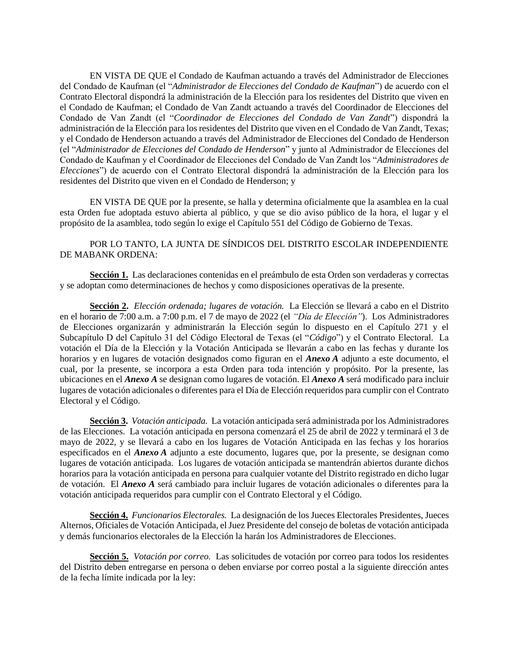EN VISTA DE QUE el Condado de Kaufman actuando a través del Administrador de Elecciones del Condado de Kaufman (el "*Administrador de Elecciones del Condado de Kaufman*") de acuerdo con el Contrato Electoral dispondrá la administración de la Elección para los residentes del Distrito que viven en el Condado de Kaufman; el Condado de Van Zandt actuando a través del Coordinador de Elecciones del Condado de Van Zandt (el "*Coordinador de Elecciones del Condado de Van Zandt*") dispondrá la administración de la Elección para los residentes del Distrito que viven en el Condado de Van Zandt, Texas; y el Condado de Henderson actuando a través del Administrador de Elecciones del Condado de Henderson (el "*Administrador de Elecciones del Condado de Henderson*" y junto al Administrador de Elecciones del Condado de Kaufman y el Coordinador de Elecciones del Condado de Van Zandt los "*Administradores de Elecciones*") de acuerdo con el Contrato Electoral dispondrá la administración de la Elección para los residentes del Distrito que viven en el Condado de Henderson; y

EN VISTA DE QUE por la presente, se halla y determina oficialmente que la asamblea en la cual esta Orden fue adoptada estuvo abierta al público, y que se dio aviso público de la hora, el lugar y el propósito de la asamblea, todo según lo exige el Capítulo 551 del Código de Gobierno de Texas.

POR LO TANTO, LA JUNTA DE SÍNDICOS DEL DISTRITO ESCOLAR INDEPENDIENTE DE MABANK ORDENA:

**Sección 1.** Las declaraciones contenidas en el preámbulo de esta Orden son verdaderas y correctas y se adoptan como determinaciones de hechos y como disposiciones operativas de la presente.

**Sección 2.** *Elección ordenada; lugares de votación.* La Elección se llevará a cabo en el Distrito en el horario de 7:00 a.m. a 7:00 p.m. el 7 de mayo de 2022 (el *"Día de Elección"*). Los Administradores de Elecciones organizarán y administrarán la Elección según lo dispuesto en el Capítulo 271 y el Subcapítulo D del Capítulo 31 del Código Electoral de Texas (el "*Código*") y el Contrato Electoral. La votación el Día de la Elección y la Votación Anticipada se llevarán a cabo en las fechas y durante los horarios y en lugares de votación designados como figuran en el *Anexo A* adjunto a este documento, el cual, por la presente, se incorpora a esta Orden para toda intención y propósito. Por la presente, las ubicaciones en el *Anexo A* se designan como lugares de votación. El *Anexo A* será modificado para incluir lugares de votación adicionales o diferentes para el Día de Elección requeridos para cumplir con el Contrato Electoral y el Código.

**Sección 3.** *Votación anticipada.* La votación anticipada será administrada por los Administradores de las Elecciones. La votación anticipada en persona comenzará el 25 de abril de 2022 y terminará el 3 de mayo de 2022, y se llevará a cabo en los lugares de Votación Anticipada en las fechas y los horarios especificados en el *Anexo A* adjunto a este documento, lugares que, por la presente, se designan como lugares de votación anticipada. Los lugares de votación anticipada se mantendrán abiertos durante dichos horarios para la votación anticipada en persona para cualquier votante del Distrito registrado en dicho lugar de votación. El *Anexo A* será cambiado para incluir lugares de votación adicionales o diferentes para la votación anticipada requeridos para cumplir con el Contrato Electoral y el Código.

**Sección 4.** *Funcionarios Electorales.* La designación de los Jueces Electorales Presidentes, Jueces Alternos, Oficiales de Votación Anticipada, el Juez Presidente del consejo de boletas de votación anticipada y demás funcionarios electorales de la Elección la harán los Administradores de Elecciones.

**Sección 5.** *Votación por correo.* Las solicitudes de votación por correo para todos los residentes del Distrito deben entregarse en persona o deben enviarse por correo postal a la siguiente dirección antes de la fecha límite indicada por la ley: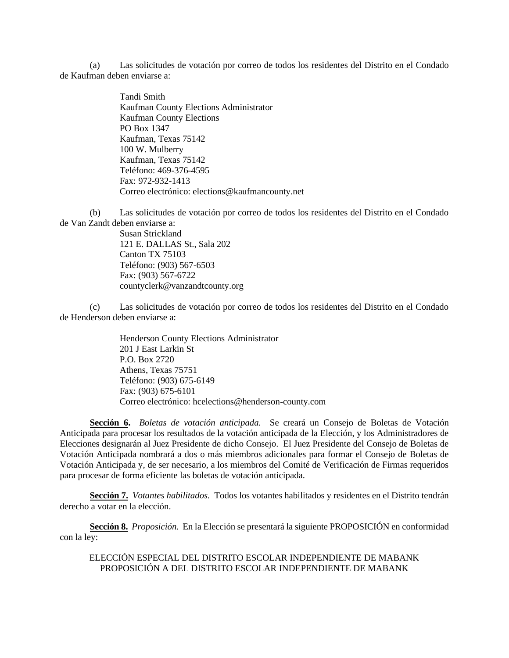(a) Las solicitudes de votación por correo de todos los residentes del Distrito en el Condado de Kaufman deben enviarse a:

> Tandi Smith Kaufman County Elections Administrator Kaufman County Elections PO Box 1347 Kaufman, Texas 75142 100 W. Mulberry Kaufman, Texas 75142 Teléfono: 469-376-4595 Fax: 972-932-1413 Correo electrónico: elections@kaufmancounty.net

(b) Las solicitudes de votación por correo de todos los residentes del Distrito en el Condado de Van Zandt deben enviarse a:

> Susan Strickland 121 E. DALLAS St., Sala 202 Canton TX 75103 Teléfono: (903) 567-6503 Fax: (903) 567-6722 countyclerk@vanzandtcounty.org

(c) Las solicitudes de votación por correo de todos los residentes del Distrito en el Condado de Henderson deben enviarse a:

> Henderson County Elections Administrator 201 J East Larkin St P.O. Box 2720 Athens, Texas 75751 Teléfono: (903) 675-6149 Fax: (903) 675-6101 Correo electrónico: hcelections@henderson-county.com

**Sección 6.** *Boletas de votación anticipada.* Se creará un Consejo de Boletas de Votación Anticipada para procesar los resultados de la votación anticipada de la Elección, y los Administradores de Elecciones designarán al Juez Presidente de dicho Consejo. El Juez Presidente del Consejo de Boletas de Votación Anticipada nombrará a dos o más miembros adicionales para formar el Consejo de Boletas de Votación Anticipada y, de ser necesario, a los miembros del Comité de Verificación de Firmas requeridos para procesar de forma eficiente las boletas de votación anticipada.

**Sección 7.** *Votantes habilitados.* Todos los votantes habilitados y residentes en el Distrito tendrán derecho a votar en la elección.

**Sección 8.** *Proposición.* En la Elección se presentará la siguiente PROPOSICIÓN en conformidad con la ley:

ELECCIÓN ESPECIAL DEL DISTRITO ESCOLAR INDEPENDIENTE DE MABANK PROPOSICIÓN A DEL DISTRITO ESCOLAR INDEPENDIENTE DE MABANK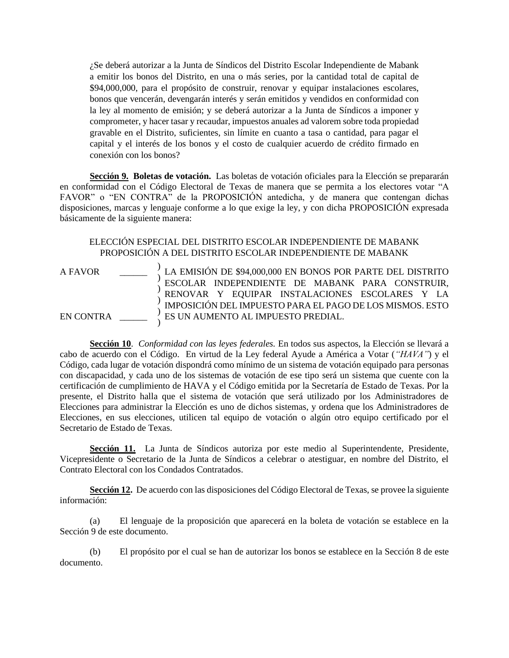¿Se deberá autorizar a la Junta de Síndicos del Distrito Escolar Independiente de Mabank a emitir los bonos del Distrito, en una o más series, por la cantidad total de capital de \$94,000,000, para el propósito de construir, renovar y equipar instalaciones escolares, bonos que vencerán, devengarán interés y serán emitidos y vendidos en conformidad con la ley al momento de emisión; y se deberá autorizar a la Junta de Síndicos a imponer y comprometer, y hacer tasar y recaudar, impuestos anuales ad valorem sobre toda propiedad gravable en el Distrito, suficientes, sin límite en cuanto a tasa o cantidad, para pagar el capital y el interés de los bonos y el costo de cualquier acuerdo de crédito firmado en conexión con los bonos?

**Sección 9. Boletas de votación.** Las boletas de votación oficiales para la Elección se prepararán en conformidad con el Código Electoral de Texas de manera que se permita a los electores votar "A FAVOR" o "EN CONTRA" de la PROPOSICIÓN antedicha, y de manera que contengan dichas disposiciones, marcas y lenguaje conforme a lo que exige la ley, y con dicha PROPOSICIÓN expresada básicamente de la siguiente manera:

#### ELECCIÓN ESPECIAL DEL DISTRITO ESCOLAR INDEPENDIENTE DE MABANK PROPOSICIÓN A DEL DISTRITO ESCOLAR INDEPENDIENTE DE MABANK

A FAVOR EN CONTRA \_\_\_\_\_\_ ) ) ) ) ) ) LA EMISIÓN DE \$94,000,000 EN BONOS POR PARTE DEL DISTRITO ESCOLAR INDEPENDIENTE DE MABANK PARA CONSTRUIR, RENOVAR Y EQUIPAR INSTALACIONES ESCOLARES Y LA IMPOSICIÓN DEL IMPUESTO PARA EL PAGO DE LOS MISMOS. ESTO ES UN AUMENTO AL IMPUESTO PREDIAL.

**Sección 10**. *Conformidad con las leyes federales.* En todos sus aspectos, la Elección se llevará a cabo de acuerdo con el Código. En virtud de la Ley federal Ayude a América a Votar (*"HAVA"*) y el Código, cada lugar de votación dispondrá como mínimo de un sistema de votación equipado para personas con discapacidad, y cada uno de los sistemas de votación de ese tipo será un sistema que cuente con la certificación de cumplimiento de HAVA y el Código emitida por la Secretaría de Estado de Texas. Por la presente, el Distrito halla que el sistema de votación que será utilizado por los Administradores de Elecciones para administrar la Elección es uno de dichos sistemas, y ordena que los Administradores de Elecciones, en sus elecciones, utilicen tal equipo de votación o algún otro equipo certificado por el Secretario de Estado de Texas.

**Sección 11.** La Junta de Síndicos autoriza por este medio al Superintendente, Presidente, Vicepresidente o Secretario de la Junta de Síndicos a celebrar o atestiguar, en nombre del Distrito, el Contrato Electoral con los Condados Contratados.

**Sección 12.** De acuerdo con las disposiciones del Código Electoral de Texas, se provee la siguiente información:

(a) El lenguaje de la proposición que aparecerá en la boleta de votación se establece en la Sección 9 de este documento.

(b) El propósito por el cual se han de autorizar los bonos se establece en la Sección 8 de este documento.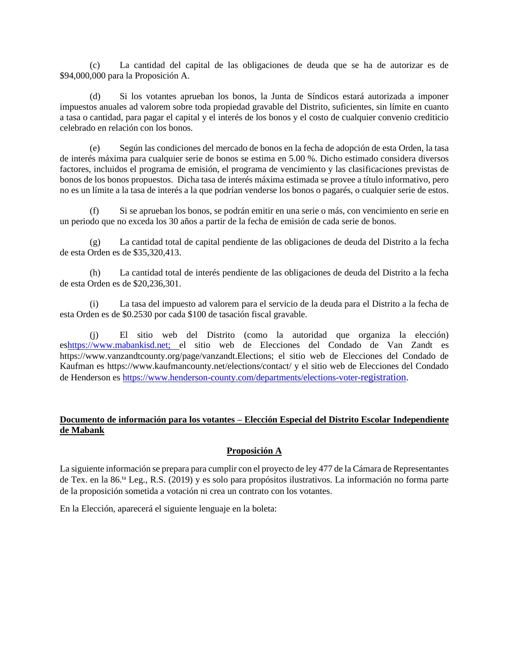(c) La cantidad del capital de las obligaciones de deuda que se ha de autorizar es de \$94,000,000 para la Proposición A.

(d) Si los votantes aprueban los bonos, la Junta de Síndicos estará autorizada a imponer impuestos anuales ad valorem sobre toda propiedad gravable del Distrito, suficientes, sin límite en cuanto a tasa o cantidad, para pagar el capital y el interés de los bonos y el costo de cualquier convenio crediticio celebrado en relación con los bonos.

(e) Según las condiciones del mercado de bonos en la fecha de adopción de esta Orden, la tasa de interés máxima para cualquier serie de bonos se estima en 5.00 %. Dicho estimado considera diversos factores, incluidos el programa de emisión, el programa de vencimiento y las clasificaciones previstas de bonos de los bonos propuestos. Dicha tasa de interés máxima estimada se provee a título informativo, pero no es un límite a la tasa de interés a la que podrían venderse los bonos o pagarés, o cualquier serie de estos.

(f) Si se aprueban los bonos, se podrán emitir en una serie o más, con vencimiento en serie en un periodo que no exceda los 30 años a partir de la fecha de emisión de cada serie de bonos.

(g) La cantidad total de capital pendiente de las obligaciones de deuda del Distrito a la fecha de esta Orden es de \$35,320,413.

(h) La cantidad total de interés pendiente de las obligaciones de deuda del Distrito a la fecha de esta Orden es de \$20,236,301.

(i) La tasa del impuesto ad valorem para el servicio de la deuda para el Distrito a la fecha de esta Orden es de \$0.2530 por cada \$100 de tasación fiscal gravable.

(j) El sitio web del Distrito (como la autoridad que organiza la elección) e[shttps://www.mabankisd.n](https://www.mabankisd./)et; el sitio web de Elecciones del Condado de Van Zandt es https://www.vanzandtcounty.org/page/vanzandt.Elections; el sitio web de Elecciones del Condado de Kaufman es https://www.kaufmancounty.net/elections/contact/ y el sitio web de Elecciones del Condado de Henderson es [https://www.henderson-county.com/departments/elections-voter-](https://www.henderson-county.com/departments/elections-voter-registration)[registration.](https://www.henderson-county.com/departments/elections-voter-registration)

#### **Documento de información para los votantes – Elección Especial del Distrito Escolar Independiente de Mabank**

# **Proposición A**

La siguiente información se prepara para cumplir con el proyecto de ley 477 de la Cámara de Representantes de Tex. en la 86.<sup>ta</sup> Leg., R.S. (2019) y es solo para propósitos ilustrativos. La información no forma parte de la proposición sometida a votación ni crea un contrato con los votantes.

En la Elección, aparecerá el siguiente lenguaje en la boleta: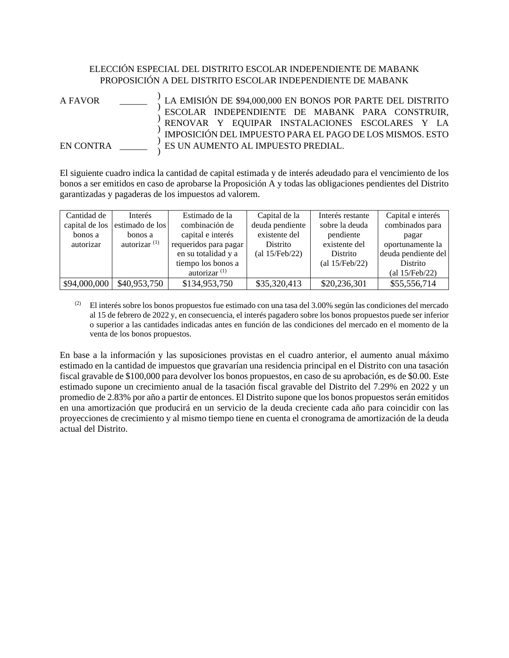# ELECCIÓN ESPECIAL DEL DISTRITO ESCOLAR INDEPENDIENTE DE MABANK PROPOSICIÓN A DEL DISTRITO ESCOLAR INDEPENDIENTE DE MABANK

A FAVOR EN CONTRA \_\_\_\_\_\_ ) ) ) ) ) ) LA EMISIÓN DE \$94,000,000 EN BONOS POR PARTE DEL DISTRITO ESCOLAR INDEPENDIENTE DE MABANK PARA CONSTRUIR, RENOVAR Y EQUIPAR INSTALACIONES ESCOLARES Y LA IMPOSICIÓN DEL IMPUESTO PARA EL PAGO DE LOS MISMOS. ESTO ES UN AUMENTO AL IMPUESTO PREDIAL.

El siguiente cuadro indica la cantidad de capital estimada y de interés adeudado para el vencimiento de los bonos a ser emitidos en caso de aprobarse la Proposición A y todas las obligaciones pendientes del Distrito garantizadas y pagaderas de los impuestos ad valorem.

| Cantidad de    | Interés         | Estimado de la        | Capital de la                                | Interés restante                             | Capital e interés               |
|----------------|-----------------|-----------------------|----------------------------------------------|----------------------------------------------|---------------------------------|
| capital de los | estimado de los | combinación de        | deuda pendiente                              | sobre la deuda                               | combinados para                 |
| bonos a        | bonos a         | capital e interés     | existente del                                | pendiente                                    | pagar                           |
| autorizar      | autorizar $(1)$ | requeridos para pagar | Distrito                                     | existente del                                | oportunamente la                |
|                |                 | en su totalidad y a   | $\left( \text{al } 15/\text{Feb}/22 \right)$ | Distrito                                     | deuda pendiente del             |
|                |                 | tiempo los bonos a    |                                              | $\left( \text{al } 15/\text{Feb}/22 \right)$ | <b>Distrito</b>                 |
|                |                 | autorizar $(1)$       |                                              |                                              | $\text{(al } 15/\text{Feb}/22)$ |
| \$94,000,000   | \$40,953,750    | \$134,953,750         | \$35,320,413                                 | \$20,236,301                                 | \$55,556,714                    |

(2) El interés sobre los bonos propuestos fue estimado con una tasa del 3.00% según las condiciones del mercado al 15 de febrero de 2022 y, en consecuencia, el interés pagadero sobre los bonos propuestos puede ser inferior o superior a las cantidades indicadas antes en función de las condiciones del mercado en el momento de la venta de los bonos propuestos.

En base a la información y las suposiciones provistas en el cuadro anterior, el aumento anual máximo estimado en la cantidad de impuestos que gravarían una residencia principal en el Distrito con una tasación fiscal gravable de \$100,000 para devolver los bonos propuestos, en caso de su aprobación, es de \$0.00. Este estimado supone un crecimiento anual de la tasación fiscal gravable del Distrito del 7.29% en 2022 y un promedio de 2.83% por año a partir de entonces. El Distrito supone que los bonos propuestos serán emitidos en una amortización que producirá en un servicio de la deuda creciente cada año para coincidir con las proyecciones de crecimiento y al mismo tiempo tiene en cuenta el cronograma de amortización de la deuda actual del Distrito.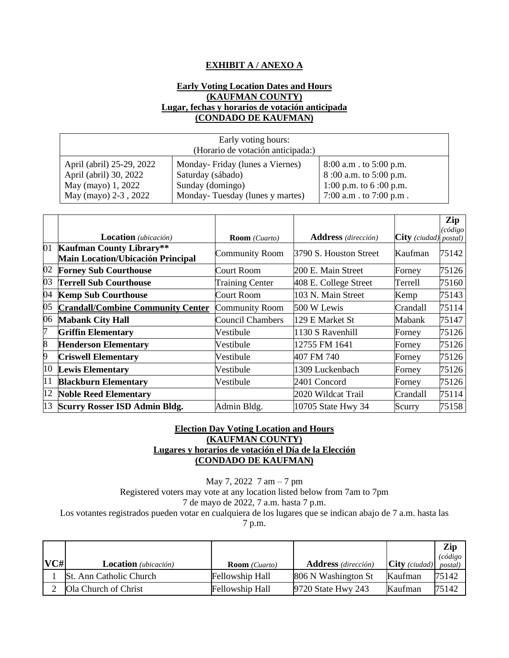## **EXHIBIT A / ANEXO A**

#### **Early Voting Location Dates and Hours (KAUFMAN COUNTY) Lugar, fechas y horarios de votación anticipada (CONDADO DE KAUFMAN)**

| Early voting hours:<br>(Horario de votación anticipada:) |                                 |                             |  |
|----------------------------------------------------------|---------------------------------|-----------------------------|--|
| April (abril) 25-29, 2022                                | Monday-Friday (lunes a Viernes) | $8:00$ a.m . to $5:00$ p.m. |  |
| April (abril) 30, 2022                                   | Saturday (sábado)               | 8:00 a.m. to 5:00 p.m.      |  |
| May (mayo) 1, 2022                                       | Sunday (domingo)                | 1:00 p.m. to $6:00$ p.m.    |  |
| May (mayo) 2-3, 2022                                     | Monday-Tuesday (lunes y martes) | 7:00 a.m. to 7:00 p.m.      |  |

|    |                                                                             |                         |                            |                       | Zip<br>(código |
|----|-----------------------------------------------------------------------------|-------------------------|----------------------------|-----------------------|----------------|
|    | <b>Location</b> ( <i>ubicación</i> )                                        | <b>Room</b> (Cuarto)    | <b>Address</b> (dirección) | City (ciudad) postal) |                |
| 01 | <b>Kaufman County Library**</b><br><b>Main Location/Ubicación Principal</b> | <b>Community Room</b>   | 3790 S. Houston Street     | Kaufman               | 75142          |
| 02 | <b>Forney Sub Courthouse</b>                                                | Court Room              | 200 E. Main Street         | Forney                | 75126          |
| 03 | <b>Terrell Sub Courthouse</b>                                               | <b>Training Center</b>  | 408 E. College Street      | Terrell               | 75160          |
| 04 | <b>Kemp Sub Courthouse</b>                                                  | Court Room              | 103 N. Main Street         | Kemp                  | 75143          |
| 05 | <b>Crandall/Combine Community Center</b>                                    | <b>Community Room</b>   | 500 W Lewis                | Crandall              | 75114          |
| 06 | <b>Mabank City Hall</b>                                                     | <b>Council Chambers</b> | 129 E Market St            | Mabank                | 75147          |
| 7  | <b>Griffin Elementary</b>                                                   | Vestibule               | 1130 S Ravenhill           | Forney                | 75126          |
| 8  | <b>Henderson Elementary</b>                                                 | Vestibule               | 12755 FM 1641              | Forney                | 75126          |
| 9  | <b>Criswell Elementary</b>                                                  | Vestibule               | 407 FM 740                 | Forney                | 75126          |
| 10 | <b>Lewis Elementary</b>                                                     | Vestibule               | 1309 Luckenbach            | Forney                | 75126          |
| 11 | <b>Blackburn Elementary</b>                                                 | Vestibule               | 2401 Concord               | Forney                | 75126          |
| 12 | <b>Noble Reed Elementary</b>                                                |                         | 2020 Wildcat Trail         | Crandall              | 75114          |
| 13 | <b>Scurry Rosser ISD Admin Bldg.</b>                                        | Admin Bldg.             | 10705 State Hwy 34         | Scurry                | 75158          |

## **Election Day Voting Location and Hours (KAUFMAN COUNTY) Lugares y horarios de votación el Día de la Elección (CONDADO DE KAUFMAN)**

May 7, 2022 7 am – 7 pm Registered voters may vote at any location listed below from 7am to 7pm 7 de mayo de 2022, 7 a.m. hasta 7 p.m. Los votantes registrados pueden votar en cualquiera de los lugares que se indican abajo de 7 a.m. hasta las

7 p.m.

| VCH | <b>Location</b> ( <i>ubicación</i> ) | <b>Room</b> (Cuarto)   | <b>Address</b> (dirección) | $\text{City} (ciudad)$ postal) | Zip<br>$(c\acute{o}digo)$ |
|-----|--------------------------------------|------------------------|----------------------------|--------------------------------|---------------------------|
|     | <b>St. Ann Catholic Church</b>       | Fellowship Hall        | 806 N Washington St        | Kaufman                        | 75142                     |
|     | Ola Church of Christ                 | <b>Fellowship Hall</b> | 9720 State Hwy 243         | Kaufman                        | 75142                     |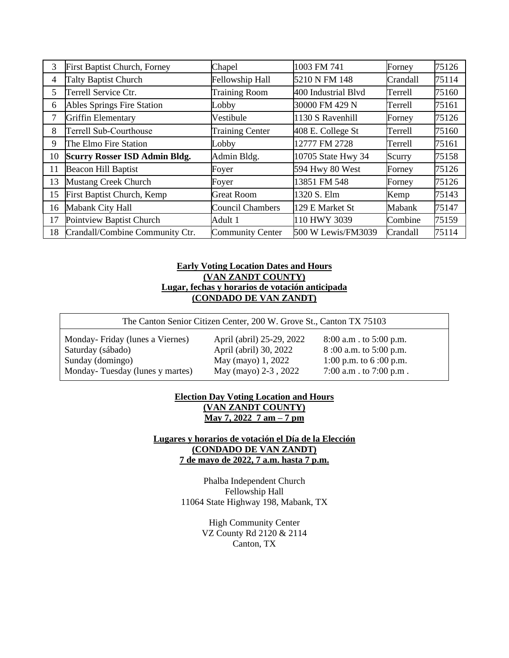| 3  | First Baptist Church, Forney         | Chapel                  | 1003 FM 741         | Forney   | 75126 |
|----|--------------------------------------|-------------------------|---------------------|----------|-------|
| 4  | <b>Talty Baptist Church</b>          | Fellowship Hall         | 5210 N FM 148       | Crandall | 75114 |
| 5  | Terrell Service Ctr.                 | <b>Training Room</b>    | 400 Industrial Blvd | Terrell  | 75160 |
| 6  | Ables Springs Fire Station           | Lobby                   | 30000 FM 429 N      | Terrell  | 75161 |
| 7  | <b>Griffin Elementary</b>            | Vestibule               | 1130 S Ravenhill    | Forney   | 75126 |
| 8  | Terrell Sub-Courthouse               | <b>Training Center</b>  | 408 E. College St   | Terrell  | 75160 |
| 9  | The Elmo Fire Station                | Lobby                   | 12777 FM 2728       | Terrell  | 75161 |
| 10 | <b>Scurry Rosser ISD Admin Bldg.</b> | Admin Bldg.             | 10705 State Hwy 34  | Scurry   | 75158 |
| 11 | <b>Beacon Hill Baptist</b>           | Foyer                   | 594 Hwy 80 West     | Forney   | 75126 |
| 13 | Mustang Creek Church                 | Foyer                   | 13851 FM 548        | Forney   | 75126 |
| 15 | First Baptist Church, Kemp           | <b>Great Room</b>       | 1320 S. Elm         | Kemp     | 75143 |
| 16 | Mabank City Hall                     | <b>Council Chambers</b> | 129 E Market St     | Mabank   | 75147 |
| 17 | Pointview Baptist Church             | Adult 1                 | 110 HWY 3039        | Combine  | 75159 |
| 18 | Crandall/Combine Community Ctr.      | <b>Community Center</b> | 500 W Lewis/FM3039  | Crandall | 75114 |

#### **Early Voting Location Dates and Hours (VAN ZANDT COUNTY) Lugar, fechas y horarios de votación anticipada (CONDADO DE VAN ZANDT)**

The Canton Senior Citizen Center, 200 W. Grove St., Canton TX 75103

Monday- Friday (lunes a Viernes) Saturday (sábado) Sunday (domingo) Monday- Tuesday (lunes y martes)

April (abril) 25-29, 2022 April (abril) 30, 2022 May (mayo) 1, 2022 May (mayo) 2-3 , 2022

8:00 a.m . to 5:00 p.m. 8 :00 a.m. to 5:00 p.m. 1:00 p.m. to 6 :00 p.m. 7:00 a.m . to 7:00 p.m .

## **Election Day Voting Location and Hours (VAN ZANDT COUNTY) May 7, 2022 7 am – 7 pm**

#### **Lugares y horarios de votación el Día de la Elección (CONDADO DE VAN ZANDT) 7 de mayo de 2022, 7 a.m. hasta 7 p.m.**

Phalba Independent Church Fellowship Hall 11064 State Highway 198, Mabank, TX

> High Community Center VZ County Rd 2120 & 2114 Canton, TX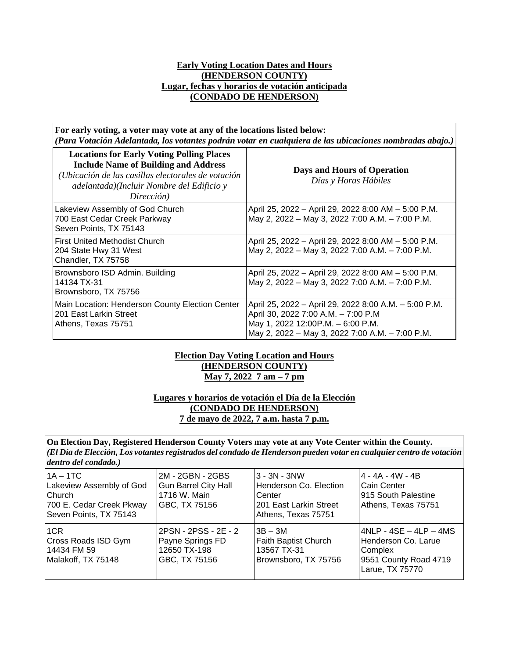#### **Early Voting Location Dates and Hours (HENDERSON COUNTY) Lugar, fechas y horarios de votación anticipada (CONDADO DE HENDERSON)**

**For early voting, a voter may vote at any of the locations listed below:**  *(Para Votación Adelantada, los votantes podrán votar en cualquiera de las ubicaciones nombradas abajo.)*

| <b>Locations for Early Voting Polling Places</b><br><b>Include Name of Building and Address</b><br>(Ubicación de las casillas electorales de votación<br>adelantada)(Incluir Nombre del Edificio y<br>Dirección) | Days and Hours of Operation<br>Días y Horas Hábiles                                                                                                                                   |
|------------------------------------------------------------------------------------------------------------------------------------------------------------------------------------------------------------------|---------------------------------------------------------------------------------------------------------------------------------------------------------------------------------------|
| Lakeview Assembly of God Church<br>700 East Cedar Creek Parkway<br>Seven Points, TX 75143                                                                                                                        | April 25, 2022 - April 29, 2022 8:00 AM - 5:00 P.M.<br>May 2, 2022 - May 3, 2022 7:00 A.M. - 7:00 P.M.                                                                                |
| <b>First United Methodist Church</b><br>204 State Hwy 31 West<br>Chandler, TX 75758                                                                                                                              | April 25, 2022 - April 29, 2022 8:00 AM - 5:00 P.M.<br>May 2, 2022 - May 3, 2022 7:00 A.M. - 7:00 P.M.                                                                                |
| Brownsboro ISD Admin. Building<br>14134 TX-31<br>Brownsboro, TX 75756                                                                                                                                            | April 25, 2022 - April 29, 2022 8:00 AM - 5:00 P.M.<br>May 2, 2022 - May 3, 2022 7:00 A.M. - 7:00 P.M.                                                                                |
| Main Location: Henderson County Election Center<br>201 East Larkin Street<br>Athens, Texas 75751                                                                                                                 | April 25, 2022 - April 29, 2022 8:00 A.M. - 5:00 P.M.<br>April 30, 2022 7:00 A.M. - 7:00 P.M<br>May 1, 2022 12:00 P.M. - 6:00 P.M.<br>May 2, 2022 - May 3, 2022 7:00 A.M. - 7:00 P.M. |

#### **Election Day Voting Location and Hours (HENDERSON COUNTY) May 7, 2022 7 am – 7 pm**

## **Lugares y horarios de votación el Día de la Elección (CONDADO DE HENDERSON) 7 de mayo de 2022, 7 a.m. hasta 7 p.m.**

**On Election Day, Registered Henderson County Voters may vote at any Vote Center within the County.**  *(El Día de Elección, Los votantes registrados del condado de Henderson pueden votar en cualquier centro de votación dentro del condado.)*

| $IA - 1TC$<br>Lakeview Assembly of God<br>Church<br>700 E. Cedar Creek Pkway<br>Seven Points, TX 75143 | 2M - 2GBN - 2GBS<br><b>Gun Barrel City Hall</b><br>1716 W. Main<br>GBC, TX 75156 | $3 - 3N - 3NW$<br>Henderson Co. Election<br>Center<br>201 East Larkin Street<br>Athens, Texas 75751 | $4 - 4A - 4W - 4B$<br>Cain Center<br>915 South Palestine<br>Athens, Texas 75751                        |
|--------------------------------------------------------------------------------------------------------|----------------------------------------------------------------------------------|-----------------------------------------------------------------------------------------------------|--------------------------------------------------------------------------------------------------------|
| 1 <sub>CR</sub><br>Cross Roads ISD Gym<br>14434 FM 59<br>Malakoff, TX 75148                            | 2PSN - 2PSS - 2E - 2<br>Payne Springs FD<br>12650 TX-198<br>GBC, TX 75156        | $3B - 3M$<br>Faith Baptist Church<br>13567 TX-31<br>Brownsboro, TX 75756                            | $4NLP - 4SE - 4LP - 4MS$<br>Henderson Co. Larue<br>Complex<br>9551 County Road 4719<br>Larue, TX 75770 |